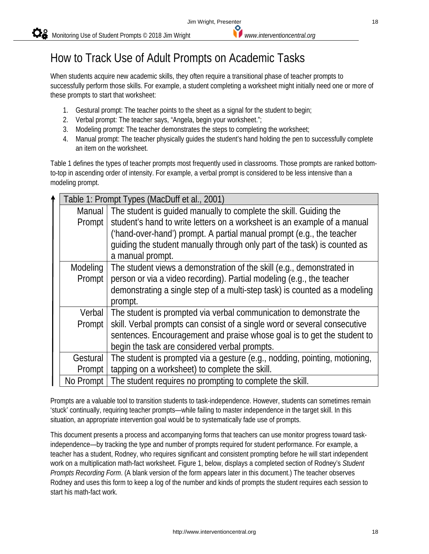## How to Track Use of Adult Prompts on Academic Tasks

When students acquire new academic skills, they often require a transitional phase of teacher prompts to successfully perform those skills. For example, a student completing a worksheet might initially need one or more of these prompts to start that worksheet:

- 1. Gestural prompt: The teacher points to the sheet as a signal for the student to begin;
- 2. Verbal prompt: The teacher says, "Angela, begin your worksheet.";
- 3. Modeling prompt: The teacher demonstrates the steps to completing the worksheet;
- 4. Manual prompt: The teacher physically guides the student's hand holding the pen to successfully complete an item on the worksheet.

Table 1 defines the types of teacher prompts most frequently used in classrooms. Those prompts are ranked bottomto-top in ascending order of intensity. For example, a verbal prompt is considered to be less intensive than a modeling prompt.

|                                                                                   | Table 1: Prompt Types (MacDuff et al., 2001)                            |                                                                              |  |  |  |
|-----------------------------------------------------------------------------------|-------------------------------------------------------------------------|------------------------------------------------------------------------------|--|--|--|
| The student is quided manually to complete the skill. Guiding the<br>Manual       |                                                                         |                                                                              |  |  |  |
|                                                                                   | Prompt                                                                  | student's hand to write letters on a worksheet is an example of a manual     |  |  |  |
|                                                                                   |                                                                         | ('hand-over-hand') prompt. A partial manual prompt (e.g., the teacher        |  |  |  |
|                                                                                   |                                                                         | quiding the student manually through only part of the task) is counted as    |  |  |  |
|                                                                                   |                                                                         | a manual prompt.                                                             |  |  |  |
| The student views a demonstration of the skill (e.g., demonstrated in<br>Modeling |                                                                         |                                                                              |  |  |  |
|                                                                                   | Prompt                                                                  | person or via a video recording). Partial modeling (e.g., the teacher        |  |  |  |
|                                                                                   |                                                                         | demonstrating a single step of a multi-step task) is counted as a modeling   |  |  |  |
|                                                                                   | prompt.                                                                 |                                                                              |  |  |  |
|                                                                                   |                                                                         | Verbal   The student is prompted via verbal communication to demonstrate the |  |  |  |
|                                                                                   | Prompt                                                                  | skill. Verbal prompts can consist of a single word or several consecutive    |  |  |  |
|                                                                                   | sentences. Encouragement and praise whose goal is to get the student to |                                                                              |  |  |  |
| begin the task are considered verbal prompts.                                     |                                                                         |                                                                              |  |  |  |
|                                                                                   | Gestural                                                                | The student is prompted via a gesture (e.g., nodding, pointing, motioning,   |  |  |  |
| tapping on a worksheet) to complete the skill.<br>Prompt                          |                                                                         |                                                                              |  |  |  |
|                                                                                   | No Prompt                                                               | The student requires no prompting to complete the skill.                     |  |  |  |

Prompts are a valuable tool to transition students to task-independence. However, students can sometimes remain 'stuck' continually, requiring teacher prompts—while failing to master independence in the target skill. In this situation, an appropriate intervention goal would be to systematically fade use of prompts.

This document presents a process and accompanying forms that teachers can use monitor progress toward taskindependence—by tracking the type and number of prompts required for student performance. For example, a teacher has a student, Rodney, who requires significant and consistent prompting before he will start independent work on a multiplication math-fact worksheet. Figure 1, below, displays a completed section of Rodney's *Student Prompts Recording Form*. (A blank version of the form appears later in this document.) The teacher observes Rodney and uses this form to keep a log of the number and kinds of prompts the student requires each session to start his math-fact work.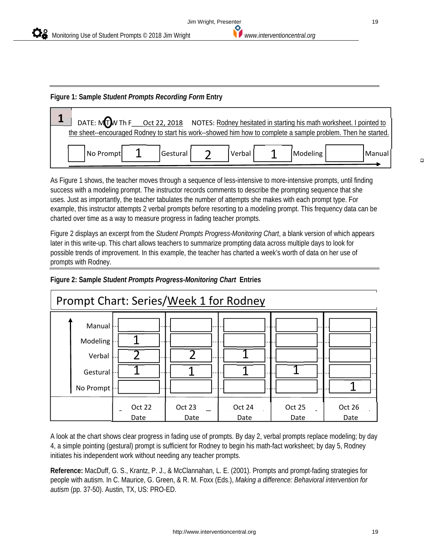

#### **Figure 1: Sample** *Student Prompts Recording Form* **Entry**

|           |          |   |        | DATE: MIT W Th F __ Oct 22, 2018 NOTES: Rodney hesitated in starting his math worksheet. I pointed to        |        |
|-----------|----------|---|--------|--------------------------------------------------------------------------------------------------------------|--------|
|           |          |   |        | the sheet-encouraged Rodney to start his work--showed him how to complete a sample problem. Then he started. |        |
| No Prompt | Gestural | ⌒ | Verbal | Modeling                                                                                                     | Manual |

As Figure 1 shows, the teacher moves through a sequence of less-intensive to more-intensive prompts, until finding success with a modeling prompt. The instructor records comments to describe the prompting sequence that she uses. Just as importantly, the teacher tabulates the number of attempts she makes with each prompt type. For example, this instructor attempts 2 verbal prompts before resorting to a modeling prompt. This frequency data can be charted over time as a way to measure progress in fading teacher prompts.

Figure 2 displays an excerpt from the *Student Prompts Progress-Monitoring Chart*, a blank version of which appears later in this write-up. This chart allows teachers to summarize prompting data across multiple days to look for possible trends of improvement. In this example, the teacher has charted a week's worth of data on her use of prompts with Rodney.





A look at the chart shows clear progress in fading use of prompts. By day 2, verbal prompts replace modeling; by day 4, a simple pointing (gestural) prompt is sufficient for Rodney to begin his math-fact worksheet; by day 5, Rodney initiates his independent work without needing any teacher prompts.

**Reference:** MacDuff, G. S., Krantz, P. J., & McClannahan, L. E. (2001). Prompts and prompt-fading strategies for people with autism. In C. Maurice, G. Green, & R. M. Foxx (Eds.), *Making a difference: Behavioral intervention for autism* (pp. 37-50). Austin, TX, US: PRO-ED.

 $\Box$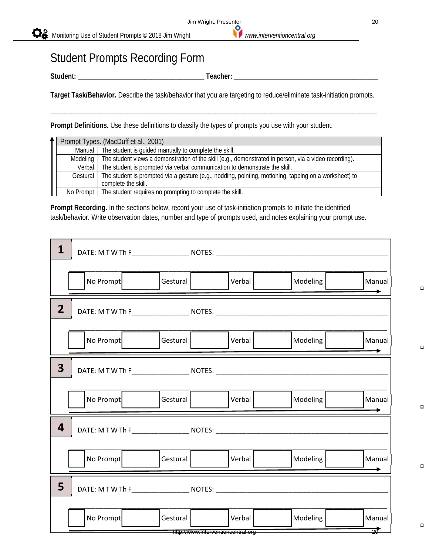## Student Prompts Recording Form

**Student: \_\_\_\_\_\_\_\_\_\_\_\_\_\_\_\_\_\_\_\_\_\_\_\_\_\_\_\_\_\_\_\_\_\_\_\_ Teacher: \_\_\_\_\_\_\_\_\_\_\_\_\_\_\_\_\_\_\_\_\_\_\_\_\_\_\_\_\_\_\_\_\_\_\_\_\_\_\_\_\_** 

**Target Task/Behavior.** Describe the task/behavior that you are targeting to reduce/eliminate task-initiation prompts.

\_\_\_\_\_\_\_\_\_\_\_\_\_\_\_\_\_\_\_\_\_\_\_\_\_\_\_\_\_\_\_\_\_\_\_\_\_\_\_\_\_\_\_\_\_\_\_\_\_\_\_\_\_\_\_\_\_\_\_\_\_\_\_\_\_\_\_\_\_\_\_\_\_\_\_\_\_\_\_\_\_\_\_\_\_\_\_\_\_\_\_\_\_

**Prompt Definitions.** Use these definitions to classify the types of prompts you use with your student.

|          | Prompt Types. (MacDuff et al., 2001)                                                                  |
|----------|-------------------------------------------------------------------------------------------------------|
| Manual   | The student is guided manually to complete the skill.                                                 |
| Modeling | The student views a demonstration of the skill (e.g., demonstrated in person, via a video recording). |
| Verbal   | The student is prompted via verbal communication to demonstrate the skill.                            |
| Gestural | The student is prompted via a gesture (e.g., nodding, pointing, motioning, tapping on a worksheet) to |
|          | complete the skill.                                                                                   |
|          | No Prompt   The student requires no prompting to complete the skill.                                  |

**Prompt Recording.** In the sections below, record your use of task-initiation prompts to initiate the identified task/behavior. Write observation dates, number and type of prompts used, and notes explaining your prompt use.

| 1                                                                                      | DATE: M T W Th F________________________ NOTES: _________________________________ |                                                |        |          |                           |
|----------------------------------------------------------------------------------------|-----------------------------------------------------------------------------------|------------------------------------------------|--------|----------|---------------------------|
|                                                                                        | No Prompt                                                                         | Gestural                                       | Verbal | Modeling | Manual                    |
| $\mathbf{2}$                                                                           |                                                                                   |                                                |        |          |                           |
|                                                                                        | No Prompt                                                                         | Gestural                                       | Verbal | Modeling | Manual                    |
| $\overline{\mathbf{3}}$                                                                |                                                                                   |                                                |        |          |                           |
|                                                                                        | No Prompt                                                                         | Gestural                                       | Verbal | Modeling | Manual                    |
| 4                                                                                      | DATE: M T W Th F________________________ NOTES: _________________________________ |                                                |        |          |                           |
|                                                                                        | No Prompt                                                                         | Gestural                                       | Verbal | Modeling | Manual                    |
| 5<br>DATE: M T W Th F_______________________ NOTES: __________________________________ |                                                                                   |                                                |        |          |                           |
|                                                                                        | No Prompt                                                                         | Gestural<br>http://www.interventioncentral.org | Verbal | Modeling | Manual<br>$\overline{20}$ |

 $\Box$ 

 $\Box$ 

 $\Box$ 

 $\Box$ 

 $\Box$